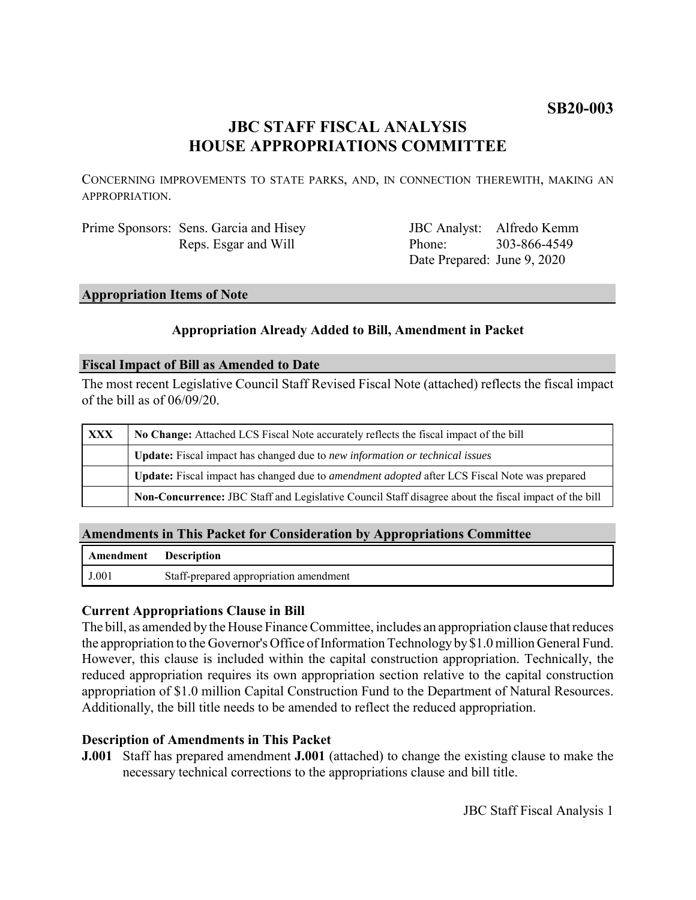# **SB20-003**

# **JBC STAFF FISCAL ANALYSIS HOUSE APPROPRIATIONS COMMITTEE**

CONCERNING IMPROVEMENTS TO STATE PARKS, AND, IN CONNECTION THEREWITH, MAKING AN APPROPRIATION.

| Prime Sponsors: Sens. Garcia and Hisey |
|----------------------------------------|
| Reps. Esgar and Will                   |

JBC Analyst: Alfredo Kemm Phone: Date Prepared: June 9, 2020 303-866-4549

# **Appropriation Items of Note**

# **Appropriation Already Added to Bill, Amendment in Packet**

#### **Fiscal Impact of Bill as Amended to Date**

The most recent Legislative Council Staff Revised Fiscal Note (attached) reflects the fiscal impact of the bill as of 06/09/20.

| <b>XXX</b> | No Change: Attached LCS Fiscal Note accurately reflects the fiscal impact of the bill                       |  |
|------------|-------------------------------------------------------------------------------------------------------------|--|
|            | <b>Update:</b> Fiscal impact has changed due to new information or technical issues                         |  |
|            | <b>Update:</b> Fiscal impact has changed due to <i>amendment adopted</i> after LCS Fiscal Note was prepared |  |
|            | Non-Concurrence: JBC Staff and Legislative Council Staff disagree about the fiscal impact of the bill       |  |

# **Amendments in This Packet for Consideration by Appropriations Committee**

| <b>Amendment</b> Description |                                        |
|------------------------------|----------------------------------------|
| J.001                        | Staff-prepared appropriation amendment |

# **Current Appropriations Clause in Bill**

The bill, as amended by the House Finance Committee, includes an appropriation clause that reduces the appropriation to the Governor's Office of Information Technology by \$1.0 million General Fund. However, this clause is included within the capital construction appropriation. Technically, the reduced appropriation requires its own appropriation section relative to the capital construction appropriation of \$1.0 million Capital Construction Fund to the Department of Natural Resources. Additionally, the bill title needs to be amended to reflect the reduced appropriation.

# **Description of Amendments in This Packet**

**J.001** Staff has prepared amendment **J.001** (attached) to change the existing clause to make the necessary technical corrections to the appropriations clause and bill title.